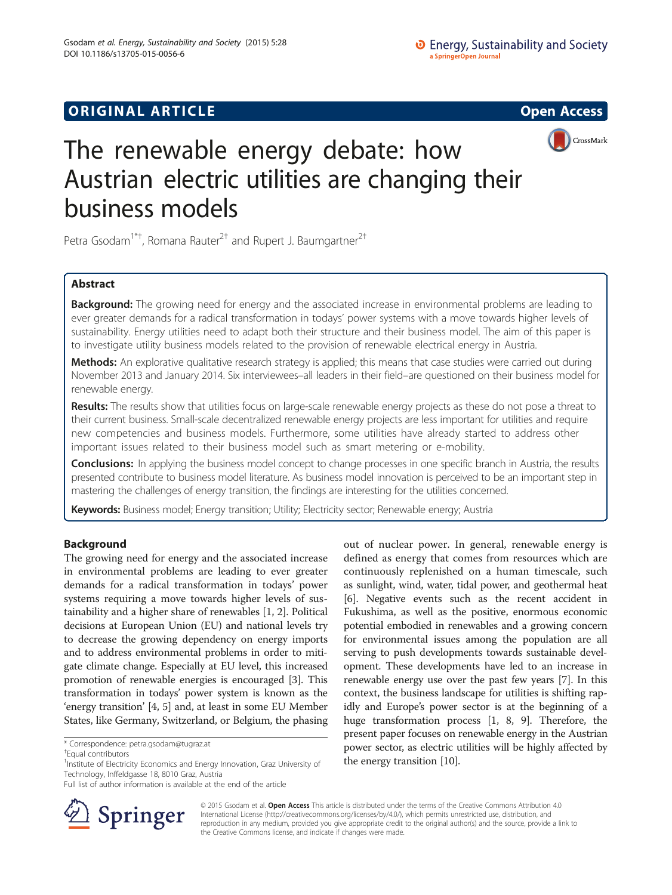## **ORIGINAL ARTICLE CONSUMING A LIGACION** CONSUMING A LIGACION CONSUMING A LIGACION CONSUMING A LIGACION CONSUMING A LIGACION CONSUMING A LIGACION CONSUMING A LIGACION CONSUMING A LIGACION CONSUMING A LIGACION CONSUMING A





# The renewable energy debate: how Austrian electric utilities are changing their business models

Petra Gsodam<sup>1\*†</sup>, Romana Rauter<sup>2†</sup> and Rupert J. Baumgartner<sup>2†</sup>

## Abstract

Background: The growing need for energy and the associated increase in environmental problems are leading to ever greater demands for a radical transformation in todays' power systems with a move towards higher levels of sustainability. Energy utilities need to adapt both their structure and their business model. The aim of this paper is to investigate utility business models related to the provision of renewable electrical energy in Austria.

Methods: An explorative qualitative research strategy is applied; this means that case studies were carried out during November 2013 and January 2014. Six interviewees–all leaders in their field–are questioned on their business model for renewable energy.

Results: The results show that utilities focus on large-scale renewable energy projects as these do not pose a threat to their current business. Small-scale decentralized renewable energy projects are less important for utilities and require new competencies and business models. Furthermore, some utilities have already started to address other important issues related to their business model such as smart metering or e-mobility.

**Conclusions:** In applying the business model concept to change processes in one specific branch in Austria, the results presented contribute to business model literature. As business model innovation is perceived to be an important step in mastering the challenges of energy transition, the findings are interesting for the utilities concerned.

Keywords: Business model; Energy transition; Utility; Electricity sector; Renewable energy; Austria

## Background

The growing need for energy and the associated increase in environmental problems are leading to ever greater demands for a radical transformation in todays' power systems requiring a move towards higher levels of sustainability and a higher share of renewables [\[1, 2\]](#page-10-0). Political decisions at European Union (EU) and national levels try to decrease the growing dependency on energy imports and to address environmental problems in order to mitigate climate change. Especially at EU level, this increased promotion of renewable energies is encouraged [[3\]](#page-10-0). This transformation in todays' power system is known as the 'energy transition' [\[4](#page-10-0), [5\]](#page-10-0) and, at least in some EU Member States, like Germany, Switzerland, or Belgium, the phasing

\* Correspondence: [petra.gsodam@tugraz.at](mailto:petra.gsodam@tugraz.at) †

Springer



© 2015 Gsodam et al. Open Access This article is distributed under the terms of the Creative Commons Attribution 4.0 International License ([http://creativecommons.org/licenses/by/4.0/\)](http://creativecommons.org/licenses/by/4.0/), which permits unrestricted use, distribution, and reproduction in any medium, provided you give appropriate credit to the original author(s) and the source, provide a link to the Creative Commons license, and indicate if changes were made.

Equal contributors

<sup>&</sup>lt;sup>1</sup> Institute of Electricity Economics and Energy Innovation, Graz University of Technology, Inffeldgasse 18, 8010 Graz, Austria

Full list of author information is available at the end of the article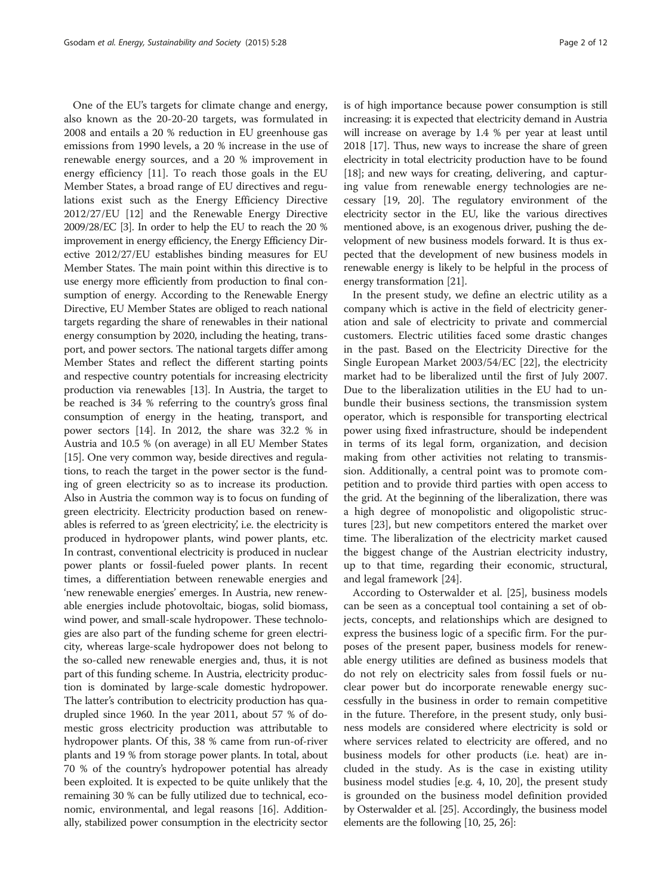One of the EU's targets for climate change and energy, also known as the 20-20-20 targets, was formulated in 2008 and entails a 20 % reduction in EU greenhouse gas emissions from 1990 levels, a 20 % increase in the use of renewable energy sources, and a 20 % improvement in energy efficiency [\[11\]](#page-10-0). To reach those goals in the EU Member States, a broad range of EU directives and regulations exist such as the Energy Efficiency Directive 2012/27/EU [\[12](#page-10-0)] and the Renewable Energy Directive 2009/28/EC [\[3\]](#page-10-0). In order to help the EU to reach the 20 % improvement in energy efficiency, the Energy Efficiency Directive 2012/27/EU establishes binding measures for EU Member States. The main point within this directive is to use energy more efficiently from production to final consumption of energy. According to the Renewable Energy Directive, EU Member States are obliged to reach national targets regarding the share of renewables in their national energy consumption by 2020, including the heating, transport, and power sectors. The national targets differ among Member States and reflect the different starting points and respective country potentials for increasing electricity production via renewables [[13](#page-10-0)]. In Austria, the target to be reached is 34 % referring to the country's gross final consumption of energy in the heating, transport, and power sectors [\[14\]](#page-10-0). In 2012, the share was 32.2 % in Austria and 10.5 % (on average) in all EU Member States [[15](#page-10-0)]. One very common way, beside directives and regulations, to reach the target in the power sector is the funding of green electricity so as to increase its production. Also in Austria the common way is to focus on funding of green electricity. Electricity production based on renewables is referred to as 'green electricity', i.e. the electricity is produced in hydropower plants, wind power plants, etc. In contrast, conventional electricity is produced in nuclear power plants or fossil-fueled power plants. In recent times, a differentiation between renewable energies and 'new renewable energies' emerges. In Austria, new renewable energies include photovoltaic, biogas, solid biomass, wind power, and small-scale hydropower. These technologies are also part of the funding scheme for green electricity, whereas large-scale hydropower does not belong to the so-called new renewable energies and, thus, it is not part of this funding scheme. In Austria, electricity production is dominated by large-scale domestic hydropower. The latter's contribution to electricity production has quadrupled since 1960. In the year 2011, about 57 % of domestic gross electricity production was attributable to hydropower plants. Of this, 38 % came from run-of-river plants and 19 % from storage power plants. In total, about 70 % of the country's hydropower potential has already been exploited. It is expected to be quite unlikely that the remaining 30 % can be fully utilized due to technical, economic, environmental, and legal reasons [\[16\]](#page-10-0). Additionally, stabilized power consumption in the electricity sector is of high importance because power consumption is still increasing: it is expected that electricity demand in Austria will increase on average by 1.4 % per year at least until 2018 [[17](#page-10-0)]. Thus, new ways to increase the share of green electricity in total electricity production have to be found [[18](#page-10-0)]; and new ways for creating, delivering, and capturing value from renewable energy technologies are necessary [[19, 20](#page-10-0)]. The regulatory environment of the electricity sector in the EU, like the various directives mentioned above, is an exogenous driver, pushing the development of new business models forward. It is thus expected that the development of new business models in renewable energy is likely to be helpful in the process of energy transformation [\[21\]](#page-10-0).

In the present study, we define an electric utility as a company which is active in the field of electricity generation and sale of electricity to private and commercial customers. Electric utilities faced some drastic changes in the past. Based on the Electricity Directive for the Single European Market 2003/54/EC [[22\]](#page-10-0), the electricity market had to be liberalized until the first of July 2007. Due to the liberalization utilities in the EU had to unbundle their business sections, the transmission system operator, which is responsible for transporting electrical power using fixed infrastructure, should be independent in terms of its legal form, organization, and decision making from other activities not relating to transmission. Additionally, a central point was to promote competition and to provide third parties with open access to the grid. At the beginning of the liberalization, there was a high degree of monopolistic and oligopolistic structures [[23](#page-10-0)], but new competitors entered the market over time. The liberalization of the electricity market caused the biggest change of the Austrian electricity industry, up to that time, regarding their economic, structural, and legal framework [\[24](#page-10-0)].

According to Osterwalder et al. [\[25](#page-10-0)], business models can be seen as a conceptual tool containing a set of objects, concepts, and relationships which are designed to express the business logic of a specific firm. For the purposes of the present paper, business models for renewable energy utilities are defined as business models that do not rely on electricity sales from fossil fuels or nuclear power but do incorporate renewable energy successfully in the business in order to remain competitive in the future. Therefore, in the present study, only business models are considered where electricity is sold or where services related to electricity are offered, and no business models for other products (i.e. heat) are included in the study. As is the case in existing utility business model studies [e.g. [4, 10, 20](#page-10-0)], the present study is grounded on the business model definition provided by Osterwalder et al. [[25](#page-10-0)]. Accordingly, the business model elements are the following [\[10, 25](#page-10-0), [26](#page-10-0)]: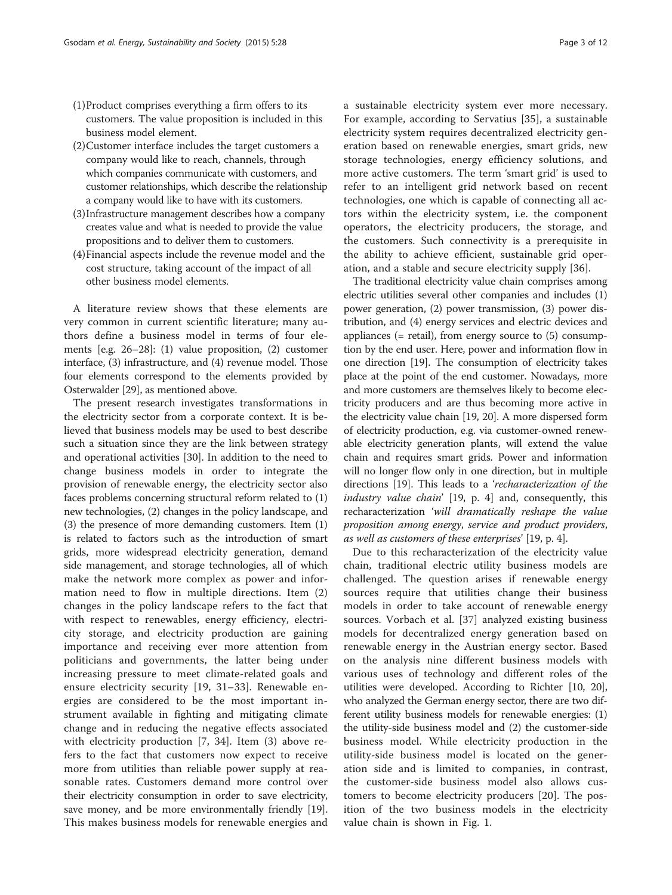- (1)Product comprises everything a firm offers to its customers. The value proposition is included in this business model element.
- (2)Customer interface includes the target customers a company would like to reach, channels, through which companies communicate with customers, and customer relationships, which describe the relationship a company would like to have with its customers.
- (3)Infrastructure management describes how a company creates value and what is needed to provide the value propositions and to deliver them to customers.
- (4)Financial aspects include the revenue model and the cost structure, taking account of the impact of all other business model elements.

A literature review shows that these elements are very common in current scientific literature; many authors define a business model in terms of four elements [e.g. [26](#page-10-0)–[28](#page-10-0)]: (1) value proposition, (2) customer interface, (3) infrastructure, and (4) revenue model. Those four elements correspond to the elements provided by Osterwalder [\[29\]](#page-10-0), as mentioned above.

The present research investigates transformations in the electricity sector from a corporate context. It is believed that business models may be used to best describe such a situation since they are the link between strategy and operational activities [[30](#page-10-0)]. In addition to the need to change business models in order to integrate the provision of renewable energy, the electricity sector also faces problems concerning structural reform related to (1) new technologies, (2) changes in the policy landscape, and (3) the presence of more demanding customers. Item (1) is related to factors such as the introduction of smart grids, more widespread electricity generation, demand side management, and storage technologies, all of which make the network more complex as power and information need to flow in multiple directions. Item (2) changes in the policy landscape refers to the fact that with respect to renewables, energy efficiency, electricity storage, and electricity production are gaining importance and receiving ever more attention from politicians and governments, the latter being under increasing pressure to meet climate-related goals and ensure electricity security [[19, 31](#page-10-0)–[33\]](#page-10-0). Renewable energies are considered to be the most important instrument available in fighting and mitigating climate change and in reducing the negative effects associated with electricity production [[7, 34](#page-10-0)]. Item (3) above refers to the fact that customers now expect to receive more from utilities than reliable power supply at reasonable rates. Customers demand more control over their electricity consumption in order to save electricity, save money, and be more environmentally friendly [[19](#page-10-0)]. This makes business models for renewable energies and

a sustainable electricity system ever more necessary. For example, according to Servatius [[35](#page-10-0)], a sustainable electricity system requires decentralized electricity generation based on renewable energies, smart grids, new storage technologies, energy efficiency solutions, and more active customers. The term 'smart grid' is used to refer to an intelligent grid network based on recent technologies, one which is capable of connecting all actors within the electricity system, i.e. the component operators, the electricity producers, the storage, and the customers. Such connectivity is a prerequisite in the ability to achieve efficient, sustainable grid operation, and a stable and secure electricity supply [\[36](#page-10-0)].

The traditional electricity value chain comprises among electric utilities several other companies and includes (1) power generation, (2) power transmission, (3) power distribution, and (4) energy services and electric devices and appliances (= retail), from energy source to  $(5)$  consumption by the end user. Here, power and information flow in one direction [[19](#page-10-0)]. The consumption of electricity takes place at the point of the end customer. Nowadays, more and more customers are themselves likely to become electricity producers and are thus becoming more active in the electricity value chain [\[19, 20](#page-10-0)]. A more dispersed form of electricity production, e.g. via customer-owned renewable electricity generation plants, will extend the value chain and requires smart grids. Power and information will no longer flow only in one direction, but in multiple directions [\[19](#page-10-0)]. This leads to a 'recharacterization of the industry value chain' [\[19,](#page-10-0) p. 4] and, consequently, this recharacterization 'will dramatically reshape the value proposition among energy, service and product providers, as well as customers of these enterprises' [\[19,](#page-10-0) p. 4].

Due to this recharacterization of the electricity value chain, traditional electric utility business models are challenged. The question arises if renewable energy sources require that utilities change their business models in order to take account of renewable energy sources. Vorbach et al. [\[37](#page-10-0)] analyzed existing business models for decentralized energy generation based on renewable energy in the Austrian energy sector. Based on the analysis nine different business models with various uses of technology and different roles of the utilities were developed. According to Richter [\[10, 20](#page-10-0)], who analyzed the German energy sector, there are two different utility business models for renewable energies: (1) the utility-side business model and (2) the customer-side business model. While electricity production in the utility-side business model is located on the generation side and is limited to companies, in contrast, the customer-side business model also allows customers to become electricity producers [\[20](#page-10-0)]. The position of the two business models in the electricity value chain is shown in Fig. [1](#page-3-0).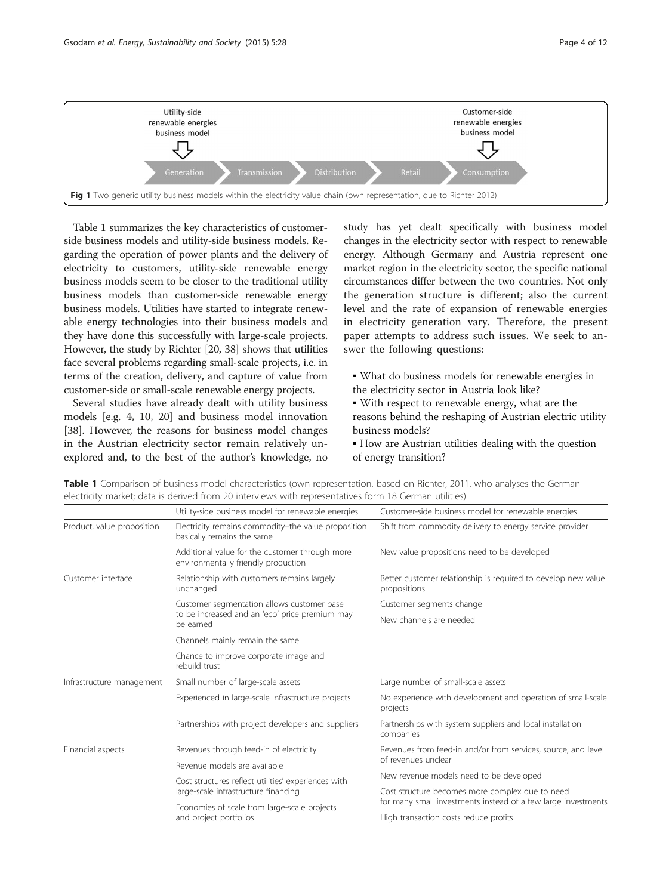<span id="page-3-0"></span>

Table 1 summarizes the key characteristics of customerside business models and utility-side business models. Regarding the operation of power plants and the delivery of electricity to customers, utility-side renewable energy business models seem to be closer to the traditional utility business models than customer-side renewable energy business models. Utilities have started to integrate renewable energy technologies into their business models and they have done this successfully with large-scale projects. However, the study by Richter [[20](#page-10-0), [38\]](#page-10-0) shows that utilities face several problems regarding small-scale projects, i.e. in terms of the creation, delivery, and capture of value from customer-side or small-scale renewable energy projects.

Several studies have already dealt with utility business models [e.g. [4, 10, 20](#page-10-0)] and business model innovation [[38\]](#page-10-0). However, the reasons for business model changes in the Austrian electricity sector remain relatively unexplored and, to the best of the author's knowledge, no

study has yet dealt specifically with business model changes in the electricity sector with respect to renewable energy. Although Germany and Austria represent one market region in the electricity sector, the specific national circumstances differ between the two countries. Not only the generation structure is different; also the current level and the rate of expansion of renewable energies in electricity generation vary. Therefore, the present paper attempts to address such issues. We seek to answer the following questions:

- What do business models for renewable energies in the electricity sector in Austria look like?
- With respect to renewable energy, what are the reasons behind the reshaping of Austrian electric utility business models?
- How are Austrian utilities dealing with the question of energy transition?

|                            | Utility-side business model for renewable energies                                          | Customer-side business model for renewable energies                                                              |  |
|----------------------------|---------------------------------------------------------------------------------------------|------------------------------------------------------------------------------------------------------------------|--|
| Product, value proposition | Electricity remains commodity-the value proposition<br>basically remains the same           | Shift from commodity delivery to energy service provider                                                         |  |
|                            | Additional value for the customer through more<br>environmentally friendly production       | New value propositions need to be developed                                                                      |  |
| Customer interface         | Relationship with customers remains largely<br>unchanged                                    | Better customer relationship is required to develop new value<br>propositions                                    |  |
|                            | Customer segmentation allows customer base                                                  | Customer segments change                                                                                         |  |
|                            | to be increased and an 'eco' price premium may<br>be earned                                 | New channels are needed                                                                                          |  |
|                            | Channels mainly remain the same                                                             |                                                                                                                  |  |
|                            | Chance to improve corporate image and<br>rebuild trust                                      |                                                                                                                  |  |
| Infrastructure management  | Small number of large-scale assets                                                          | Large number of small-scale assets                                                                               |  |
|                            | Experienced in large-scale infrastructure projects                                          | No experience with development and operation of small-scale<br>projects                                          |  |
|                            | Partnerships with project developers and suppliers                                          | Partnerships with system suppliers and local installation<br>companies                                           |  |
| Financial aspects          | Revenues through feed-in of electricity                                                     | Revenues from feed-in and/or from services, source, and level                                                    |  |
|                            | Revenue models are available                                                                | of revenues unclear                                                                                              |  |
|                            | Cost structures reflect utilities' experiences with<br>large-scale infrastructure financing | New revenue models need to be developed                                                                          |  |
|                            |                                                                                             | Cost structure becomes more complex due to need<br>for many small investments instead of a few large investments |  |
|                            | Economies of scale from large-scale projects<br>and project portfolios                      |                                                                                                                  |  |
|                            |                                                                                             | High transaction costs reduce profits                                                                            |  |

Table 1 Comparison of business model characteristics (own representation, based on Richter, 2011, who analyses the German electricity market; data is derived from 20 interviews with representatives form 18 German utilities)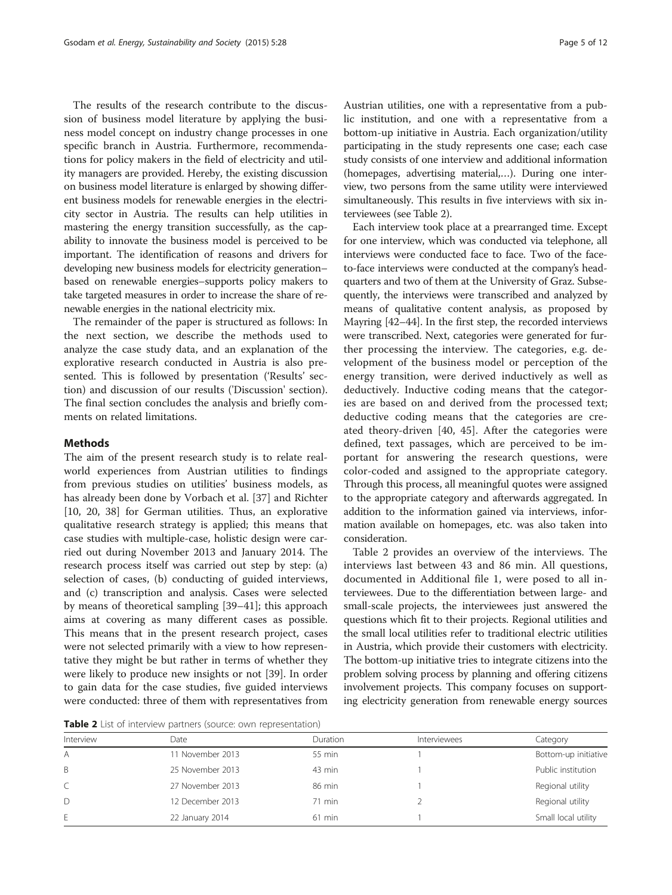The results of the research contribute to the discussion of business model literature by applying the business model concept on industry change processes in one specific branch in Austria. Furthermore, recommendations for policy makers in the field of electricity and utility managers are provided. Hereby, the existing discussion on business model literature is enlarged by showing different business models for renewable energies in the electricity sector in Austria. The results can help utilities in mastering the energy transition successfully, as the capability to innovate the business model is perceived to be important. The identification of reasons and drivers for developing new business models for electricity generation– based on renewable energies–supports policy makers to take targeted measures in order to increase the share of renewable energies in the national electricity mix.

The remainder of the paper is structured as follows: In the next section, we describe the methods used to analyze the case study data, and an explanation of the explorative research conducted in Austria is also presented. This is followed by presentation ('Results' section) and discussion of our results ('Discussion' section). The final section concludes the analysis and briefly comments on related limitations.

### Methods

The aim of the present research study is to relate realworld experiences from Austrian utilities to findings from previous studies on utilities' business models, as has already been done by Vorbach et al. [[37\]](#page-10-0) and Richter [[10, 20, 38](#page-10-0)] for German utilities. Thus, an explorative qualitative research strategy is applied; this means that case studies with multiple-case, holistic design were carried out during November 2013 and January 2014. The research process itself was carried out step by step: (a) selection of cases, (b) conducting of guided interviews, and (c) transcription and analysis. Cases were selected by means of theoretical sampling [\[39](#page-10-0)–[41\]](#page-10-0); this approach aims at covering as many different cases as possible. This means that in the present research project, cases were not selected primarily with a view to how representative they might be but rather in terms of whether they were likely to produce new insights or not [\[39](#page-10-0)]. In order to gain data for the case studies, five guided interviews were conducted: three of them with representatives from

Austrian utilities, one with a representative from a public institution, and one with a representative from a bottom-up initiative in Austria. Each organization/utility participating in the study represents one case; each case study consists of one interview and additional information (homepages, advertising material,…). During one interview, two persons from the same utility were interviewed simultaneously. This results in five interviews with six interviewees (see Table 2).

Each interview took place at a prearranged time. Except for one interview, which was conducted via telephone, all interviews were conducted face to face. Two of the faceto-face interviews were conducted at the company's headquarters and two of them at the University of Graz. Subsequently, the interviews were transcribed and analyzed by means of qualitative content analysis, as proposed by Mayring [\[42](#page-10-0)–[44](#page-11-0)]. In the first step, the recorded interviews were transcribed. Next, categories were generated for further processing the interview. The categories, e.g. development of the business model or perception of the energy transition, were derived inductively as well as deductively. Inductive coding means that the categories are based on and derived from the processed text; deductive coding means that the categories are created theory-driven [[40](#page-10-0), [45](#page-11-0)]. After the categories were defined, text passages, which are perceived to be important for answering the research questions, were color-coded and assigned to the appropriate category. Through this process, all meaningful quotes were assigned to the appropriate category and afterwards aggregated. In addition to the information gained via interviews, information available on homepages, etc. was also taken into consideration.

Table 2 provides an overview of the interviews. The interviews last between 43 and 86 min. All questions, documented in Additional file [1](#page-9-0), were posed to all interviewees. Due to the differentiation between large- and small-scale projects, the interviewees just answered the questions which fit to their projects. Regional utilities and the small local utilities refer to traditional electric utilities in Austria, which provide their customers with electricity. The bottom-up initiative tries to integrate citizens into the problem solving process by planning and offering citizens involvement projects. This company focuses on supporting electricity generation from renewable energy sources

Table 2 List of intenview partners (source: own representation)

| <b>TWATE</b> EDIT OF INTERVIEW POINTERS (SOUTCE: OWN TEPICSCHILICITY) |                  |                 |              |                      |  |
|-----------------------------------------------------------------------|------------------|-----------------|--------------|----------------------|--|
| Interview                                                             | Date             | <b>Duration</b> | Interviewees | Category             |  |
| Α                                                                     | 11 November 2013 | 55 min          |              | Bottom-up initiative |  |
| B                                                                     | 25 November 2013 | 43 min          |              | Public institution   |  |
|                                                                       | 27 November 2013 | 86 min          |              | Regional utility     |  |
| D                                                                     | 12 December 2013 | $71$ min        |              | Regional utility     |  |
| E.                                                                    | 22 January 2014  | $61$ min        |              | Small local utility  |  |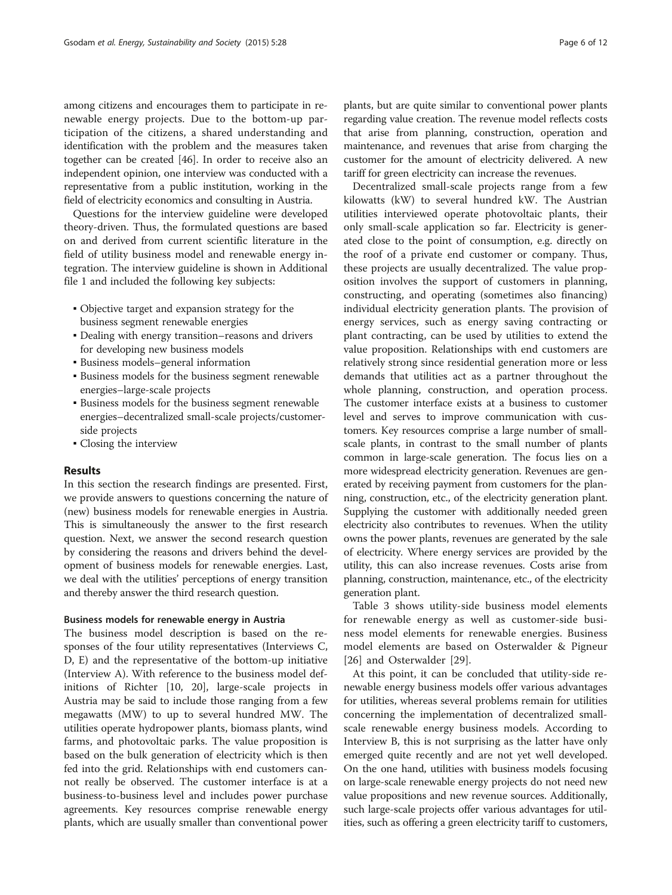among citizens and encourages them to participate in renewable energy projects. Due to the bottom-up participation of the citizens, a shared understanding and identification with the problem and the measures taken together can be created [\[46\]](#page-11-0). In order to receive also an independent opinion, one interview was conducted with a representative from a public institution, working in the field of electricity economics and consulting in Austria.

Questions for the interview guideline were developed theory-driven. Thus, the formulated questions are based on and derived from current scientific literature in the field of utility business model and renewable energy integration. The interview guideline is shown in Additional file [1](#page-9-0) and included the following key subjects:

- Objective target and expansion strategy for the business segment renewable energies
- Dealing with energy transition–reasons and drivers for developing new business models
- Business models–general information
- Business models for the business segment renewable energies–large-scale projects
- Business models for the business segment renewable energies–decentralized small-scale projects/customerside projects
- Closing the interview

#### Results

In this section the research findings are presented. First, we provide answers to questions concerning the nature of (new) business models for renewable energies in Austria. This is simultaneously the answer to the first research question. Next, we answer the second research question by considering the reasons and drivers behind the development of business models for renewable energies. Last, we deal with the utilities' perceptions of energy transition and thereby answer the third research question.

#### Business models for renewable energy in Austria

The business model description is based on the responses of the four utility representatives (Interviews C, D, E) and the representative of the bottom-up initiative (Interview A). With reference to the business model definitions of Richter [\[10](#page-10-0), [20\]](#page-10-0), large-scale projects in Austria may be said to include those ranging from a few megawatts (MW) to up to several hundred MW. The utilities operate hydropower plants, biomass plants, wind farms, and photovoltaic parks. The value proposition is based on the bulk generation of electricity which is then fed into the grid. Relationships with end customers cannot really be observed. The customer interface is at a business-to-business level and includes power purchase agreements. Key resources comprise renewable energy plants, which are usually smaller than conventional power plants, but are quite similar to conventional power plants regarding value creation. The revenue model reflects costs that arise from planning, construction, operation and maintenance, and revenues that arise from charging the customer for the amount of electricity delivered. A new tariff for green electricity can increase the revenues.

Decentralized small-scale projects range from a few kilowatts (kW) to several hundred kW. The Austrian utilities interviewed operate photovoltaic plants, their only small-scale application so far. Electricity is generated close to the point of consumption, e.g. directly on the roof of a private end customer or company. Thus, these projects are usually decentralized. The value proposition involves the support of customers in planning, constructing, and operating (sometimes also financing) individual electricity generation plants. The provision of energy services, such as energy saving contracting or plant contracting, can be used by utilities to extend the value proposition. Relationships with end customers are relatively strong since residential generation more or less demands that utilities act as a partner throughout the whole planning, construction, and operation process. The customer interface exists at a business to customer level and serves to improve communication with customers. Key resources comprise a large number of smallscale plants, in contrast to the small number of plants common in large-scale generation. The focus lies on a more widespread electricity generation. Revenues are generated by receiving payment from customers for the planning, construction, etc., of the electricity generation plant. Supplying the customer with additionally needed green electricity also contributes to revenues. When the utility owns the power plants, revenues are generated by the sale of electricity. Where energy services are provided by the utility, this can also increase revenues. Costs arise from planning, construction, maintenance, etc., of the electricity generation plant.

Table [3](#page-6-0) shows utility-side business model elements for renewable energy as well as customer-side business model elements for renewable energies. Business model elements are based on Osterwalder & Pigneur [[26\]](#page-10-0) and Osterwalder [\[29](#page-10-0)].

At this point, it can be concluded that utility-side renewable energy business models offer various advantages for utilities, whereas several problems remain for utilities concerning the implementation of decentralized smallscale renewable energy business models. According to Interview B, this is not surprising as the latter have only emerged quite recently and are not yet well developed. On the one hand, utilities with business models focusing on large-scale renewable energy projects do not need new value propositions and new revenue sources. Additionally, such large-scale projects offer various advantages for utilities, such as offering a green electricity tariff to customers,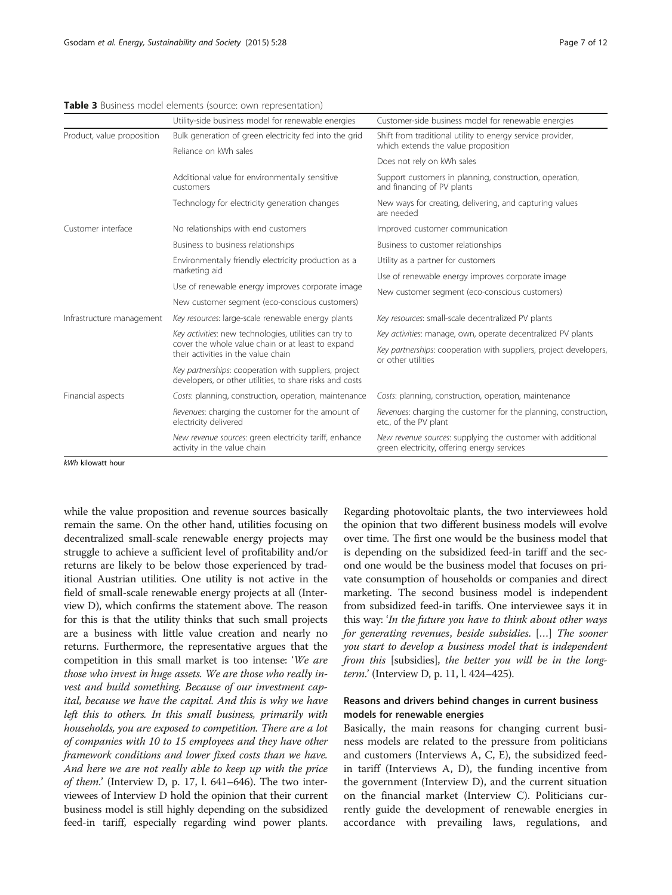<span id="page-6-0"></span>

|  | Table 3 Business model elements (source: own representation) |
|--|--------------------------------------------------------------|
|--|--------------------------------------------------------------|

|                            | Utility-side business model for renewable energies                                                                | Customer-side business model for renewable energies                                                        |  |
|----------------------------|-------------------------------------------------------------------------------------------------------------------|------------------------------------------------------------------------------------------------------------|--|
| Product, value proposition | Bulk generation of green electricity fed into the grid                                                            | Shift from traditional utility to energy service provider,<br>which extends the value proposition          |  |
|                            | Reliance on kWh sales                                                                                             |                                                                                                            |  |
|                            |                                                                                                                   | Does not rely on kWh sales                                                                                 |  |
|                            | Additional value for environmentally sensitive<br>customers                                                       | Support customers in planning, construction, operation,<br>and financing of PV plants                      |  |
|                            | Technology for electricity generation changes                                                                     | New ways for creating, delivering, and capturing values<br>are needed                                      |  |
| Customer interface         | No relationships with end customers                                                                               | Improved customer communication                                                                            |  |
|                            | Business to business relationships                                                                                | Business to customer relationships                                                                         |  |
|                            | Environmentally friendly electricity production as a                                                              | Utility as a partner for customers                                                                         |  |
|                            | marketing aid                                                                                                     | Use of renewable energy improves corporate image                                                           |  |
|                            | Use of renewable energy improves corporate image                                                                  | New customer segment (eco-conscious customers)                                                             |  |
|                            | New customer segment (eco-conscious customers)                                                                    |                                                                                                            |  |
| Infrastructure management  | Key resources: large-scale renewable energy plants                                                                | Key resources: small-scale decentralized PV plants                                                         |  |
|                            | Key activities: new technologies, utilities can try to                                                            | Key activities: manage, own, operate decentralized PV plants                                               |  |
|                            | cover the whole value chain or at least to expand<br>their activities in the value chain                          | Key partnerships: cooperation with suppliers, project developers,<br>or other utilities                    |  |
|                            | Key partnerships: cooperation with suppliers, project<br>developers, or other utilities, to share risks and costs |                                                                                                            |  |
| Financial aspects          | Costs: planning, construction, operation, maintenance                                                             | Costs: planning, construction, operation, maintenance                                                      |  |
|                            | Revenues: charging the customer for the amount of<br>electricity delivered                                        | Revenues: charging the customer for the planning, construction,<br>etc., of the PV plant                   |  |
|                            | New revenue sources: green electricity tariff, enhance<br>activity in the value chain                             | New revenue sources: supplying the customer with additional<br>green electricity, offering energy services |  |

kWh kilowatt hour

while the value proposition and revenue sources basically remain the same. On the other hand, utilities focusing on decentralized small-scale renewable energy projects may struggle to achieve a sufficient level of profitability and/or returns are likely to be below those experienced by traditional Austrian utilities. One utility is not active in the field of small-scale renewable energy projects at all (Interview D), which confirms the statement above. The reason for this is that the utility thinks that such small projects are a business with little value creation and nearly no returns. Furthermore, the representative argues that the competition in this small market is too intense: 'We are those who invest in huge assets. We are those who really invest and build something. Because of our investment capital, because we have the capital. And this is why we have left this to others. In this small business, primarily with households, you are exposed to competition. There are a lot of companies with 10 to 15 employees and they have other framework conditions and lower fixed costs than we have. And here we are not really able to keep up with the price of them.' (Interview D, p. 17, l. 641–646). The two interviewees of Interview D hold the opinion that their current business model is still highly depending on the subsidized feed-in tariff, especially regarding wind power plants.

Regarding photovoltaic plants, the two interviewees hold the opinion that two different business models will evolve over time. The first one would be the business model that is depending on the subsidized feed-in tariff and the second one would be the business model that focuses on private consumption of households or companies and direct marketing. The second business model is independent from subsidized feed-in tariffs. One interviewee says it in this way: 'In the future you have to think about other ways for generating revenues, beside subsidies. […] The sooner you start to develop a business model that is independent from this [subsidies], the better you will be in the longterm.' (Interview D, p. 11, l. 424–425).

## Reasons and drivers behind changes in current business models for renewable energies

Basically, the main reasons for changing current business models are related to the pressure from politicians and customers (Interviews A, C, E), the subsidized feedin tariff (Interviews A, D), the funding incentive from the government (Interview D), and the current situation on the financial market (Interview C). Politicians currently guide the development of renewable energies in accordance with prevailing laws, regulations, and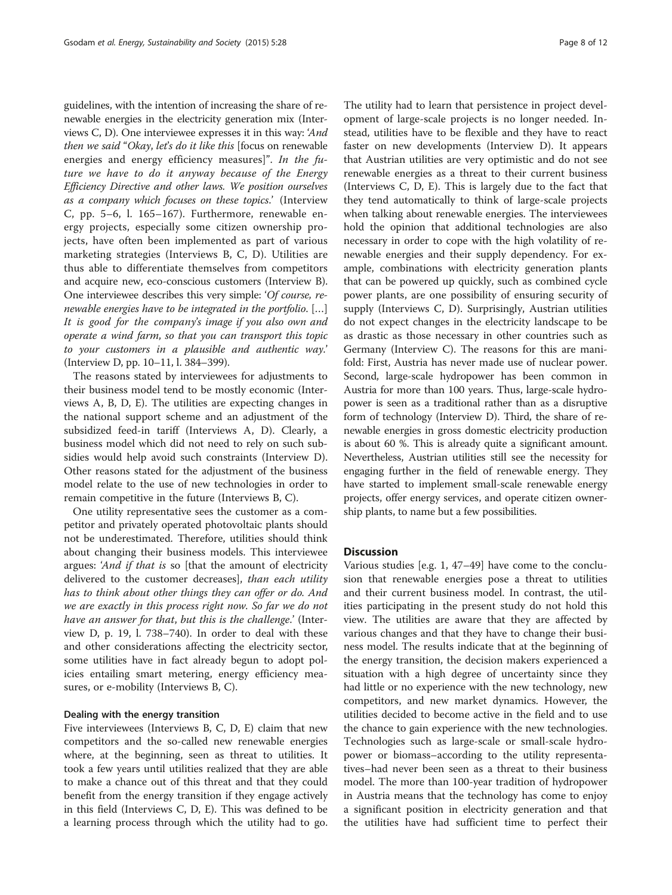guidelines, with the intention of increasing the share of renewable energies in the electricity generation mix (Interviews C, D). One interviewee expresses it in this way: 'And then we said "Okay, let's do it like this [focus on renewable energies and energy efficiency measures]". In the future we have to do it anyway because of the Energy Efficiency Directive and other laws. We position ourselves as a company which focuses on these topics.' (Interview C, pp. 5–6, l. 165–167). Furthermore, renewable energy projects, especially some citizen ownership projects, have often been implemented as part of various marketing strategies (Interviews B, C, D). Utilities are thus able to differentiate themselves from competitors and acquire new, eco-conscious customers (Interview B). One interviewee describes this very simple: 'Of course, renewable energies have to be integrated in the portfolio. […] It is good for the company's image if you also own and operate a wind farm, so that you can transport this topic to your customers in a plausible and authentic way.' (Interview D, pp. 10–11, l. 384–399).

The reasons stated by interviewees for adjustments to their business model tend to be mostly economic (Interviews A, B, D, E). The utilities are expecting changes in the national support scheme and an adjustment of the subsidized feed-in tariff (Interviews A, D). Clearly, a business model which did not need to rely on such subsidies would help avoid such constraints (Interview D). Other reasons stated for the adjustment of the business model relate to the use of new technologies in order to remain competitive in the future (Interviews B, C).

One utility representative sees the customer as a competitor and privately operated photovoltaic plants should not be underestimated. Therefore, utilities should think about changing their business models. This interviewee argues: 'And if that is so [that the amount of electricity delivered to the customer decreases], than each utility has to think about other things they can offer or do. And we are exactly in this process right now. So far we do not have an answer for that, but this is the challenge.' (Interview D, p. 19, l. 738–740). In order to deal with these and other considerations affecting the electricity sector, some utilities have in fact already begun to adopt policies entailing smart metering, energy efficiency measures, or e-mobility (Interviews B, C).

#### Dealing with the energy transition

Five interviewees (Interviews B, C, D, E) claim that new competitors and the so-called new renewable energies where, at the beginning, seen as threat to utilities. It took a few years until utilities realized that they are able to make a chance out of this threat and that they could benefit from the energy transition if they engage actively in this field (Interviews C, D, E). This was defined to be a learning process through which the utility had to go.

The utility had to learn that persistence in project development of large-scale projects is no longer needed. Instead, utilities have to be flexible and they have to react faster on new developments (Interview D). It appears that Austrian utilities are very optimistic and do not see renewable energies as a threat to their current business (Interviews C, D, E). This is largely due to the fact that they tend automatically to think of large-scale projects when talking about renewable energies. The interviewees hold the opinion that additional technologies are also necessary in order to cope with the high volatility of renewable energies and their supply dependency. For example, combinations with electricity generation plants that can be powered up quickly, such as combined cycle power plants, are one possibility of ensuring security of supply (Interviews C, D). Surprisingly, Austrian utilities do not expect changes in the electricity landscape to be as drastic as those necessary in other countries such as Germany (Interview C). The reasons for this are manifold: First, Austria has never made use of nuclear power. Second, large-scale hydropower has been common in Austria for more than 100 years. Thus, large-scale hydropower is seen as a traditional rather than as a disruptive form of technology (Interview D). Third, the share of renewable energies in gross domestic electricity production is about 60 %. This is already quite a significant amount. Nevertheless, Austrian utilities still see the necessity for engaging further in the field of renewable energy. They have started to implement small-scale renewable energy projects, offer energy services, and operate citizen ownership plants, to name but a few possibilities.

#### **Discussion**

Various studies [e.g. [1](#page-10-0), [47](#page-11-0)–[49](#page-11-0)] have come to the conclusion that renewable energies pose a threat to utilities and their current business model. In contrast, the utilities participating in the present study do not hold this view. The utilities are aware that they are affected by various changes and that they have to change their business model. The results indicate that at the beginning of the energy transition, the decision makers experienced a situation with a high degree of uncertainty since they had little or no experience with the new technology, new competitors, and new market dynamics. However, the utilities decided to become active in the field and to use the chance to gain experience with the new technologies. Technologies such as large-scale or small-scale hydropower or biomass–according to the utility representatives–had never been seen as a threat to their business model. The more than 100-year tradition of hydropower in Austria means that the technology has come to enjoy a significant position in electricity generation and that the utilities have had sufficient time to perfect their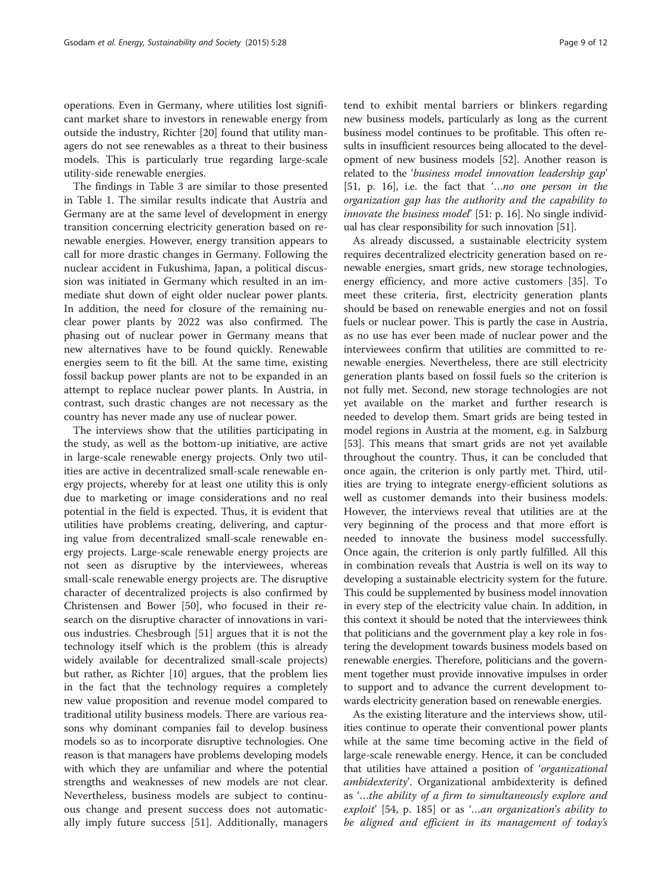operations. Even in Germany, where utilities lost significant market share to investors in renewable energy from outside the industry, Richter [[20\]](#page-10-0) found that utility managers do not see renewables as a threat to their business models. This is particularly true regarding large-scale utility-side renewable energies.

The findings in Table [3](#page-6-0) are similar to those presented in Table [1](#page-3-0). The similar results indicate that Austria and Germany are at the same level of development in energy transition concerning electricity generation based on renewable energies. However, energy transition appears to call for more drastic changes in Germany. Following the nuclear accident in Fukushima, Japan, a political discussion was initiated in Germany which resulted in an immediate shut down of eight older nuclear power plants. In addition, the need for closure of the remaining nuclear power plants by 2022 was also confirmed. The phasing out of nuclear power in Germany means that new alternatives have to be found quickly. Renewable energies seem to fit the bill. At the same time, existing fossil backup power plants are not to be expanded in an attempt to replace nuclear power plants. In Austria, in contrast, such drastic changes are not necessary as the country has never made any use of nuclear power.

The interviews show that the utilities participating in the study, as well as the bottom-up initiative, are active in large-scale renewable energy projects. Only two utilities are active in decentralized small-scale renewable energy projects, whereby for at least one utility this is only due to marketing or image considerations and no real potential in the field is expected. Thus, it is evident that utilities have problems creating, delivering, and capturing value from decentralized small-scale renewable energy projects. Large-scale renewable energy projects are not seen as disruptive by the interviewees, whereas small-scale renewable energy projects are. The disruptive character of decentralized projects is also confirmed by Christensen and Bower [[50\]](#page-11-0), who focused in their research on the disruptive character of innovations in various industries. Chesbrough [[51\]](#page-11-0) argues that it is not the technology itself which is the problem (this is already widely available for decentralized small-scale projects) but rather, as Richter [[10\]](#page-10-0) argues, that the problem lies in the fact that the technology requires a completely new value proposition and revenue model compared to traditional utility business models. There are various reasons why dominant companies fail to develop business models so as to incorporate disruptive technologies. One reason is that managers have problems developing models with which they are unfamiliar and where the potential strengths and weaknesses of new models are not clear. Nevertheless, business models are subject to continuous change and present success does not automatically imply future success [\[51](#page-11-0)]. Additionally, managers tend to exhibit mental barriers or blinkers regarding new business models, particularly as long as the current business model continues to be profitable. This often results in insufficient resources being allocated to the development of new business models [\[52](#page-11-0)]. Another reason is related to the 'business model innovation leadership gap' [[51](#page-11-0), p. 16], i.e. the fact that '…no one person in the organization gap has the authority and the capability to innovate the business model' [\[51:](#page-11-0) p. 16]. No single individual has clear responsibility for such innovation [\[51\]](#page-11-0).

As already discussed, a sustainable electricity system requires decentralized electricity generation based on renewable energies, smart grids, new storage technologies, energy efficiency, and more active customers [[35\]](#page-10-0). To meet these criteria, first, electricity generation plants should be based on renewable energies and not on fossil fuels or nuclear power. This is partly the case in Austria, as no use has ever been made of nuclear power and the interviewees confirm that utilities are committed to renewable energies. Nevertheless, there are still electricity generation plants based on fossil fuels so the criterion is not fully met. Second, new storage technologies are not yet available on the market and further research is needed to develop them. Smart grids are being tested in model regions in Austria at the moment, e.g. in Salzburg [[53\]](#page-11-0). This means that smart grids are not yet available throughout the country. Thus, it can be concluded that once again, the criterion is only partly met. Third, utilities are trying to integrate energy-efficient solutions as well as customer demands into their business models. However, the interviews reveal that utilities are at the very beginning of the process and that more effort is needed to innovate the business model successfully. Once again, the criterion is only partly fulfilled. All this in combination reveals that Austria is well on its way to developing a sustainable electricity system for the future. This could be supplemented by business model innovation in every step of the electricity value chain. In addition, in this context it should be noted that the interviewees think that politicians and the government play a key role in fostering the development towards business models based on renewable energies. Therefore, politicians and the government together must provide innovative impulses in order to support and to advance the current development towards electricity generation based on renewable energies.

As the existing literature and the interviews show, utilities continue to operate their conventional power plants while at the same time becoming active in the field of large-scale renewable energy. Hence, it can be concluded that utilities have attained a position of 'organizational ambidexterity'. Organizational ambidexterity is defined as '…the ability of a firm to simultaneously explore and exploit' [\[54](#page-11-0), p. 185] or as '…an organization's ability to be aligned and efficient in its management of today's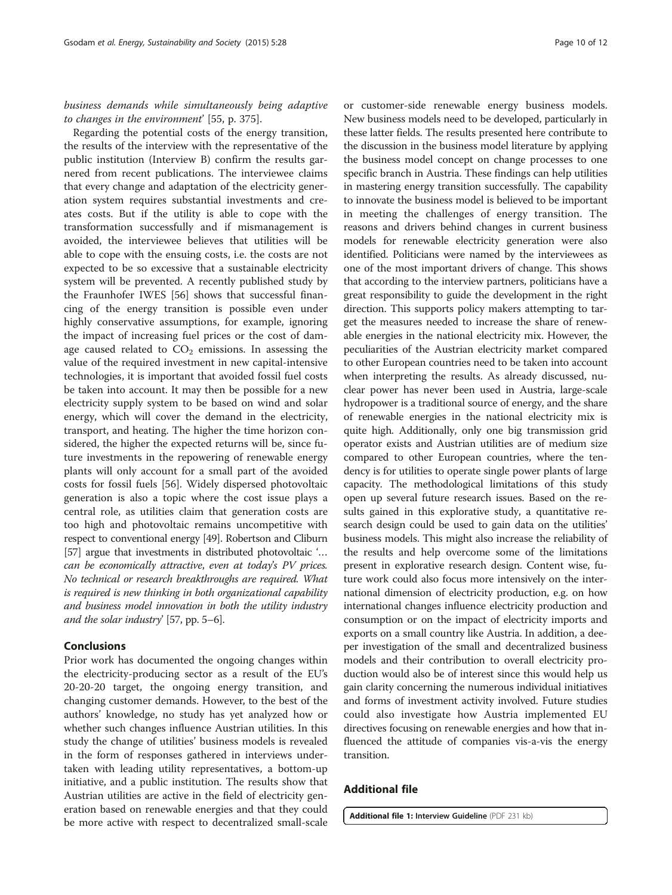## <span id="page-9-0"></span>business demands while simultaneously being adaptive to changes in the environment' [\[55,](#page-11-0) p. 375].

Regarding the potential costs of the energy transition, the results of the interview with the representative of the public institution (Interview B) confirm the results garnered from recent publications. The interviewee claims that every change and adaptation of the electricity generation system requires substantial investments and creates costs. But if the utility is able to cope with the transformation successfully and if mismanagement is avoided, the interviewee believes that utilities will be able to cope with the ensuing costs, i.e. the costs are not expected to be so excessive that a sustainable electricity system will be prevented. A recently published study by the Fraunhofer IWES [[56](#page-11-0)] shows that successful financing of the energy transition is possible even under highly conservative assumptions, for example, ignoring the impact of increasing fuel prices or the cost of damage caused related to  $CO<sub>2</sub>$  emissions. In assessing the value of the required investment in new capital-intensive technologies, it is important that avoided fossil fuel costs be taken into account. It may then be possible for a new electricity supply system to be based on wind and solar energy, which will cover the demand in the electricity, transport, and heating. The higher the time horizon considered, the higher the expected returns will be, since future investments in the repowering of renewable energy plants will only account for a small part of the avoided costs for fossil fuels [\[56](#page-11-0)]. Widely dispersed photovoltaic generation is also a topic where the cost issue plays a central role, as utilities claim that generation costs are too high and photovoltaic remains uncompetitive with respect to conventional energy [\[49](#page-11-0)]. Robertson and Cliburn [[57](#page-11-0)] argue that investments in distributed photovoltaic '... can be economically attractive, even at today's PV prices. No technical or research breakthroughs are required. What is required is new thinking in both organizational capability and business model innovation in both the utility industry and the solar industry' [\[57,](#page-11-0) pp. 5–6].

### Conclusions

Prior work has documented the ongoing changes within the electricity-producing sector as a result of the EU's 20-20-20 target, the ongoing energy transition, and changing customer demands. However, to the best of the authors' knowledge, no study has yet analyzed how or whether such changes influence Austrian utilities. In this study the change of utilities' business models is revealed in the form of responses gathered in interviews undertaken with leading utility representatives, a bottom-up initiative, and a public institution. The results show that Austrian utilities are active in the field of electricity generation based on renewable energies and that they could be more active with respect to decentralized small-scale

or customer-side renewable energy business models. New business models need to be developed, particularly in these latter fields. The results presented here contribute to the discussion in the business model literature by applying the business model concept on change processes to one specific branch in Austria. These findings can help utilities in mastering energy transition successfully. The capability to innovate the business model is believed to be important in meeting the challenges of energy transition. The reasons and drivers behind changes in current business models for renewable electricity generation were also identified. Politicians were named by the interviewees as one of the most important drivers of change. This shows that according to the interview partners, politicians have a great responsibility to guide the development in the right direction. This supports policy makers attempting to target the measures needed to increase the share of renewable energies in the national electricity mix. However, the peculiarities of the Austrian electricity market compared to other European countries need to be taken into account when interpreting the results. As already discussed, nuclear power has never been used in Austria, large-scale hydropower is a traditional source of energy, and the share of renewable energies in the national electricity mix is quite high. Additionally, only one big transmission grid operator exists and Austrian utilities are of medium size compared to other European countries, where the tendency is for utilities to operate single power plants of large capacity. The methodological limitations of this study open up several future research issues. Based on the results gained in this explorative study, a quantitative research design could be used to gain data on the utilities' business models. This might also increase the reliability of the results and help overcome some of the limitations present in explorative research design. Content wise, future work could also focus more intensively on the international dimension of electricity production, e.g. on how international changes influence electricity production and consumption or on the impact of electricity imports and exports on a small country like Austria. In addition, a deeper investigation of the small and decentralized business models and their contribution to overall electricity production would also be of interest since this would help us gain clarity concerning the numerous individual initiatives and forms of investment activity involved. Future studies could also investigate how Austria implemented EU directives focusing on renewable energies and how that influenced the attitude of companies vis-a-vis the energy transition.

#### Additional file

[Additional file 1:](http://www.energsustainsoc.com/content/supplementary/s13705-015-0056-6-s1.pdf) Interview Guideline (PDF 231 kb)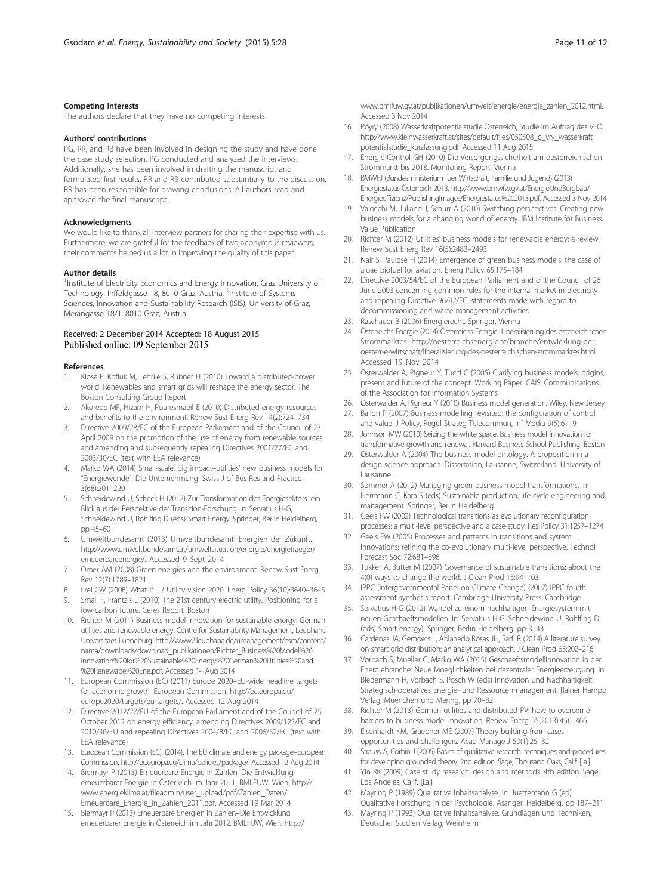#### <span id="page-10-0"></span>Competing interests

The authors declare that they have no competing interests.

#### Authors' contributions

PG, RR, and RB have been involved in designing the study and have done the case study selection. PG conducted and analyzed the interviews. Additionally, she has been involved in drafting the manuscript and formulated first results. RR and RB contributed substantially to the discussion. RR has been responsible for drawing conclusions. All authors read and approved the final manuscript.

#### Acknowledgments

We would like to thank all interview partners for sharing their expertise with us. Furthermore, we are grateful for the feedback of two anonymous reviewers; their comments helped us a lot in improving the quality of this paper.

#### Author details

<sup>1</sup>Institute of Electricity Economics and Energy Innovation, Graz University of Technology, Inffeldgasse 18, 8010 Graz, Austria. <sup>2</sup>Institute of Systems Sciences, Innovation and Sustainability Research (ISIS), University of Graz, Merangasse 18/1, 8010 Graz, Austria.

#### Received: 2 December 2014 Accepted: 18 August 2015 Published online: 09 September 2015

#### References

- 1. Klose F, Kofluk M, Lehrke S, Rubner H (2010) Toward a distributed-power world. Renewables and smart grids will reshape the energy sector. The Boston Consulting Group Report
- 2. Akorede MF, Hizam H, Pouresmaeil E (2010) Distributed energy resources and benefits to the environment. Renew Sust Energ Rev 14(2):724–734
- 3. Directive 2009/28/EC of the European Parliament and of the Council of 23 April 2009 on the promotion of the use of energy from renewable sources and amending and subsequently repealing Directives 2001/77/EC and 2003/30/EC (text with EEA relevance)
- 4. Marko WA (2014) Small-scale, big impact–utilities' new business models for "Energiewende". Die Unternehmung–Swiss J of Bus Res and Practice 3(68):201–220
- 5. Schneidewind U, Scheck H (2012) Zur Transformation des Energiesektors–ein Blick aus der Perspektive der Transition-Forschung. In: Servatius H-G, Schneidewind U, Rohlfing D (eds) Smart Energy. Springer, Berlin Heidelberg, pp 45–60
- 6. Umweltbundesamt (2013) Umweltbundesamt: Energien der Zukunft. [http://www.umweltbundesamt.at/umweltsituation/energie/energietraeger/](http://www.umweltbundesamt.at/umweltsituation/energie/energietraeger/erneuerbareenergie/) [erneuerbareenergie/](http://www.umweltbundesamt.at/umweltsituation/energie/energietraeger/erneuerbareenergie/). Accessed 9 Sept 2014
- 7. Omer AM (2008) Green energies and the environment. Renew Sust Energ Rev 12(7):1789–1821
- 8. Frei CW (2008) What if…? Utility vision 2020. Energ Policy 36(10):3640–3645 9. Small F, Frantzis L (2010) The 21st century electric utility. Positioning for a low-carbon future. Ceres Report, Boston
- 10. Richter M (2011) Business model innovation for sustainable energy: German utilities and renewable energy. Centre for Sustainability Management, Leuphana Universitaet Lueneburg. [http://www2.leuphana.de/umanagement/csm/content/](http://www2.leuphana.de/umanagement/csm/content/nama/downloads/download_publikationen/Richter_Business%20Model%20Innovation%20for%20Sustainable%20Energy%20German%20Utilities%20and%20Renewabe%20Ene.pdf) [nama/downloads/download\\_publikationen/Richter\\_Business%20Model%20](http://www2.leuphana.de/umanagement/csm/content/nama/downloads/download_publikationen/Richter_Business%20Model%20Innovation%20for%20Sustainable%20Energy%20German%20Utilities%20and%20Renewabe%20Ene.pdf) [Innovation%20for%20Sustainable%20Energy%20German%20Utilities%20and](http://www2.leuphana.de/umanagement/csm/content/nama/downloads/download_publikationen/Richter_Business%20Model%20Innovation%20for%20Sustainable%20Energy%20German%20Utilities%20and%20Renewabe%20Ene.pdf) [%20Renewabe%20Ene.pdf.](http://www2.leuphana.de/umanagement/csm/content/nama/downloads/download_publikationen/Richter_Business%20Model%20Innovation%20for%20Sustainable%20Energy%20German%20Utilities%20and%20Renewabe%20Ene.pdf) Accessed 14 Aug 2014
- 11. European Commission (EC) (2011) Europe 2020–EU-wide headline targets for economic growth–European Commission. [http://ec.europa.eu/](http://ec.europa.eu/europe2020/targets/eu-targets/) [europe2020/targets/eu-targets/.](http://ec.europa.eu/europe2020/targets/eu-targets/) Accessed 12 Aug 2014
- 12. Directive 2012/27/EU of the European Parliament and of the Council of 25 October 2012 on energy efficiency, amending Directives 2009/125/EC and 2010/30/EU and repealing Directives 2004/8/EC and 2006/32/EC (text with EEA relevance)
- 13. European Commission (EC). (2014). The EU climate and energy package–European Commission.<http://ec.europa.eu/clima/policies/package/>. Accessed 12 Aug 2014
- 14. Biermayr P (2013) Erneuerbare Energie in Zahlen–Die Entwicklung erneuerbarer Energie in Österreich im Jahr 2011. BMLFUW, Wien. [http://](http://www.energieklima.at/fileadmin/user_upload/pdf/Zahlen_Daten/Erneuerbare_Energie_in_Zahlen_2011.pdf) [www.energieklima.at/fileadmin/user\\_upload/pdf/Zahlen\\_Daten/](http://www.energieklima.at/fileadmin/user_upload/pdf/Zahlen_Daten/Erneuerbare_Energie_in_Zahlen_2011.pdf) [Erneuerbare\\_Energie\\_in\\_Zahlen\\_2011.pdf.](http://www.energieklima.at/fileadmin/user_upload/pdf/Zahlen_Daten/Erneuerbare_Energie_in_Zahlen_2011.pdf) Accessed 19 Mar 2014
- 15. Biermayr P (2013) Erneuerbare Energien in Zahlen–Die Entwicklung erneuerbarer Energie in Österreich im Jahr 2012. BMLFUW, Wien. [http://](http://www.bmlfuw.gv.at/publikationen/umwelt/energie/energie_zahlen_2012.html)

[www.bmlfuw.gv.at/publikationen/umwelt/energie/energie\\_zahlen\\_2012.html](http://www.bmlfuw.gv.at/publikationen/umwelt/energie/energie_zahlen_2012.html). Accessed 3 Nov 2014

- 16. Pöyry (2008) Wasserkraftpotentialstudie Österreich, Studie im Auftrag des VEÖ. [http://www.kleinwasserkraft.at/sites/default/files/050508\\_p\\_yry\\_wasserkraft](http://www.kleinwasserkraft.at/sites/default/files/050508_p_yry_wasserkraftpotentialstudie_kurzfassung.pdf) [potentialstudie\\_kurzfassung.pdf.](http://www.kleinwasserkraft.at/sites/default/files/050508_p_yry_wasserkraftpotentialstudie_kurzfassung.pdf) Accessed 11 Aug 2015
- 17. Energie-Control GH (2010) Die Versorgungssicherheit am oesterreichischen Strommarkt bis 2018. Monitoring Report, Vienna
- 18. BMWFJ (Bundesministerium fuer Wirtschaft, Familie und Jugend) (2013) Energiestatus Österreich 2013. [http://www.bmwfw.gv.at/EnergieUndBergbau/](http://www.bmwfw.gv.at/EnergieUndBergbau/Energieeffizienz/PublishingImages/Energiestatus%202013.pdf) [Energieeffizienz/PublishingImages/Energiestatus%202013.pdf](http://www.bmwfw.gv.at/EnergieUndBergbau/Energieeffizienz/PublishingImages/Energiestatus%202013.pdf). Accessed 3 Nov 2014
- 19. Valocchi M, Juliano J, Schurr A (2010) Switching perspectives. Creating new business models for a changing world of energy. IBM Institute for Business Value Publication
- 20. Richter M (2012) Utilities' business models for renewable energy: a review. Renew Sust Energ Rev 16(5):2483–2493
- 21. Nair S, Paulose H (2014) Emergence of green business models: the case of algae biofuel for aviation. Energ Policy 65:175–184
- 22. Directive 2003/54/EC of the European Parliament and of the Council of 26 June 2003 concerning common rules for the internal market in electricity and repealing Directive 96/92/EC–statements made with regard to decommissioning and waste management activities
- 23. Raschauer B (2006) Energierecht. Springer, Vienna
- 24. Österreichs Energie (2014) Österreichs Energie–Liberalisierung des österreichischen Strommarktes. [http://oesterreichsenergie.at/branche/entwicklung-der](http://oesterreichsenergie.at/branche/entwicklung-der-oesterr-e-wirtschaft/liberalisierung-des-oesterreichischen-strommarktes.html)[oesterr-e-wirtschaft/liberalisierung-des-oesterreichischen-strommarktes.html.](http://oesterreichsenergie.at/branche/entwicklung-der-oesterr-e-wirtschaft/liberalisierung-des-oesterreichischen-strommarktes.html) Accessed 19 Nov 2014
- 25. Osterwalder A, Pigneur Y, Tucci C (2005) Clarifying business models: origins, present and future of the concept. Working Paper. CAIS: Communications of the Association for Information Systems
- 26. Osterwalder A, Pigneur Y (2010) Business model generation. Wiley, New Jersey
- 27. Ballon P (2007) Business modelling revisited: the configuration of control and value. J Policy, Regul Strateg Telecommun, Inf Media 9(5):6–19
- 28. Johnson MW (2010) Seizing the white space. Business model innovation for transformative growth and renewal. Harvard Business School Publishing, Boston
- 29. Osterwalder A (2004) The business model ontology. A proposition in a design science approach. Dissertation, Lausanne, Switzerland: University of Lausanne.
- 30. Sommer A (2012) Managing green business model transformations. In: Herrmann C, Kara S (eds) Sustainable production, life cycle engineering and management. Springer, Berlin Heidelberg
- 31. Geels FW (2002) Technological transitions as evolutionary reconfiguration processes: a multi-level perspective and a case-study. Res Policy 31:1257–1274
- 32. Geels FW (2005) Processes and patterns in transitions and system innovations: refining the co-evolutionary multi-level perspective. Technol Forecast Soc 72:681–696
- 33. Tukker A, Butter M (2007) Governance of sustainable transitions: about the 4(0) ways to change the world. J Clean Prod 15:94–103
- 34. IPPC (Intergovernmental Panel on Climate Change) (2007) IPPC fourth assessment synthesis report. Cambridge University Press, Cambridge
- 35. Servatius H-G (2012) Wandel zu einem nachhaltigen Energiesystem mit neuen Geschaeftsmodellen. In: Servatius H-G, Schneidewind U, Rohlfing D (eds) Smart energy). Springer, Berlin Heidelberg, pp 3–43
- 36. Cardenas JA, Gemoets L, Ablanedo Rosas JH, Sarfi R (2014) A literature survey on smart grid distribution: an analytical approach. J Clean Prod 65:202–216
- 37. Vorbach S, Mueller C, Marko WA (2015) Geschaeftsmodellinnovation in der Energiebranche: Neue Moeglichkeiten bei dezentraler Energieerzeugung. In Biedermann H, Vorbach S, Posch W (eds) Innovation und Nachhaltigkeit. Strategisch-operatives Energie- und Ressourcenmanagement, Rainer Hampp Verlag, Muenchen und Mering, pp 70–82
- 38. Richter M (2013) German utilities and distributed PV: how to overcome barriers to business model innovation. Renew Energ 55(2013):456–466
- 39. Eisenhardt KM, Graebner ME (2007) Theory building from cases: opportunities and challengers. Acad Manage J 50(1):25–32
- 40. Strauss A, Corbin J (2005) Basics of qualitative research: techniques and procedures for developing grounded theory. 2nd edition. Sage, Thousand Oaks, Calif. [i.a.]
- 41. Yin RK (2009) Case study research: design and methods. 4th edition. Sage, Los Angeles, Calif. [i.a.]
- 42. Mayring P (1989) Qualitative Inhaltsanalyse. In: Juettemann G (ed) Qualitative Forschung in der Psychologie. Asanger, Heidelberg, pp 187–211
- 43. Mayring P (1993) Qualitative Inhaltsanalyse. Grundlagen und Techniken, Deutscher Studien Verlag, Weinheim